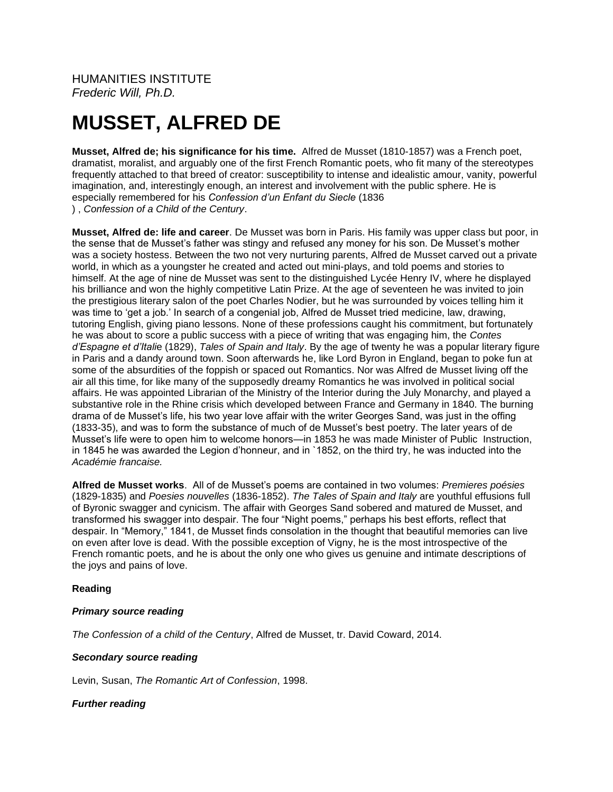HUMANITIES INSTITUTE *Frederic Will, Ph.D.*

# **MUSSET, ALFRED DE**

**Musset, Alfred de; his significance for his time.** Alfred de Musset (1810-1857) was a French poet, dramatist, moralist, and arguably one of the first French Romantic poets, who fit many of the stereotypes frequently attached to that breed of creator: susceptibility to intense and idealistic amour, vanity, powerful imagination, and, interestingly enough, an interest and involvement with the public sphere. He is especially remembered for his *Confession d'un Enfant du Siecle* (1836 ) , *Confession of a Child of the Century*.

**Musset, Alfred de: life and career**. De Musset was born in Paris. His family was upper class but poor, in the sense that de Musset's father was stingy and refused any money for his son. De Musset's mother was a society hostess. Between the two not very nurturing parents, Alfred de Musset carved out a private world, in which as a youngster he created and acted out mini-plays, and told poems and stories to himself. At the age of nine de Musset was sent to the distinguished Lycée Henry IV, where he displayed his brilliance and won the highly competitive Latin Prize. At the age of seventeen he was invited to join the prestigious literary salon of the poet Charles Nodier, but he was surrounded by voices telling him it was time to 'get a job.' In search of a congenial job, Alfred de Musset tried medicine, law, drawing, tutoring English, giving piano lessons. None of these professions caught his commitment, but fortunately he was about to score a public success with a piece of writing that was engaging him, the *Contes d'Espagne et d'Itali*e (1829), *Tales of Spain and Italy*. By the age of twenty he was a popular literary figure in Paris and a dandy around town. Soon afterwards he, like Lord Byron in England, began to poke fun at some of the absurdities of the foppish or spaced out Romantics. Nor was Alfred de Musset living off the air all this time, for like many of the supposedly dreamy Romantics he was involved in political social affairs. He was appointed Librarian of the Ministry of the Interior during the July Monarchy, and played a substantive role in the Rhine crisis which developed between France and Germany in 1840. The burning drama of de Musset's life, his two year love affair with the writer Georges Sand, was just in the offing (1833-35), and was to form the substance of much of de Musset's best poetry. The later years of de Musset's life were to open him to welcome honors—in 1853 he was made Minister of Public Instruction, in 1845 he was awarded the Legion d'honneur, and in `1852, on the third try, he was inducted into the *Académie francaise.*

**Alfred de Musset works**. All of de Musset's poems are contained in two volumes: *Premieres poésies* (1829-1835) and *Poesies nouvelles* (1836-1852). *The Tales of Spain and Italy* are youthful effusions full of Byronic swagger and cynicism. The affair with Georges Sand sobered and matured de Musset, and transformed his swagger into despair. The four "Night poems," perhaps his best efforts, reflect that despair. In "Memory," 1841, de Musset finds consolation in the thought that beautiful memories can live on even after love is dead. With the possible exception of Vigny, he is the most introspective of the French romantic poets, and he is about the only one who gives us genuine and intimate descriptions of the joys and pains of love.

### **Reading**

### *Primary source reading*

*The Confession of a child of the Century*, Alfred de Musset, tr. David Coward, 2014.

### *Secondary source reading*

Levin, Susan, *The Romantic Art of Confession*, 1998.

### *Further reading*